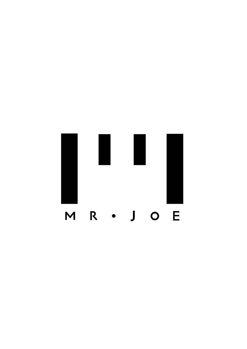# M R · J O E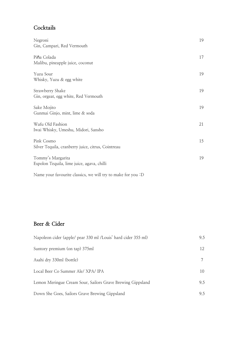### **Cocktails**

| Pi <b>ñ</b> a Colada<br>Malibu, pineapple juice, coconut<br>Yuzu Sour<br>Whisky, Yuzu & egg white<br>Strawberry Shake<br>Gin, orgeat, egg white, Red Vermouth<br>Sake Mojito<br>Gunmai Ginjo, mint, lime & soda<br>Wafu Old Fashion<br>21<br>Iwai Whisky, Umeshu, Midori, Sansho<br>Pink Cosmo<br>Silver Tequila, cranberry juice, citrus, Cointreau<br>Tommy's Margarita<br>Espolon Tequila, lime juice, agava, chilli | Negroni<br>Gin, Campari, Red Vermouth | 19 |
|-------------------------------------------------------------------------------------------------------------------------------------------------------------------------------------------------------------------------------------------------------------------------------------------------------------------------------------------------------------------------------------------------------------------------|---------------------------------------|----|
|                                                                                                                                                                                                                                                                                                                                                                                                                         |                                       | 17 |
|                                                                                                                                                                                                                                                                                                                                                                                                                         |                                       | 19 |
|                                                                                                                                                                                                                                                                                                                                                                                                                         |                                       | 19 |
|                                                                                                                                                                                                                                                                                                                                                                                                                         |                                       | 19 |
|                                                                                                                                                                                                                                                                                                                                                                                                                         |                                       |    |
|                                                                                                                                                                                                                                                                                                                                                                                                                         |                                       | 15 |
|                                                                                                                                                                                                                                                                                                                                                                                                                         |                                       | 19 |

Name your favourite classics, we will try to make for you :D

#### **Beer & Cider**

| Napoleon cider (apple/ pear 330 ml /Louis' hard cider 355 ml) | 9.5 |
|---------------------------------------------------------------|-----|
| Suntory premium (on tap) 375ml                                | 12  |
| Asahi dry 330ml (bottle)                                      |     |
| Local Beer Co Summer Ale/XPA/IPA                              | 10  |
| Lemon Meringue Cream Sour, Sailors Grave Brewing Gippsland    | 9.5 |
| Down She Goes, Sailors Grave Brewing Gippsland                | 9.5 |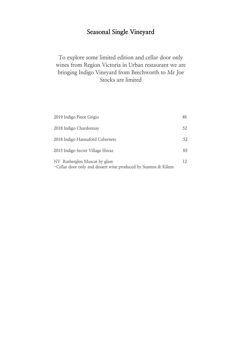# **Seasonal Single Vineyard**

#### To explore some limited edition and cellar door only wines from Region Victoria in Urban restaurant we are bringing Indigo Vineyard from Beechworth to Mr Joe Stocks are limited

| 2019 Indigo Pinot Grigio                                                                         | 48 |
|--------------------------------------------------------------------------------------------------|----|
| 2018 Indigo Chardonnay                                                                           | 52 |
| 2018 Indigo Hannaford Cabernets                                                                  | 52 |
| 2015 Indigo Secret Village Shiraz                                                                | 85 |
| NV Rutherglen Muscat by glass<br>-Cellar door only and dessert wine produced by Stanton & Kileen | 12 |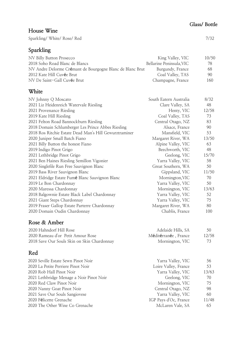#### Sparkling/White/Rose/Red 7/32 NV Billy Button Prosecco 2018 Soho Road Blanc de Blancs NV Andre Delorme Crémant de Bourgogne Blanc de Blanc Brut 2012 Kate Hill Cuvée Brut NV De Saint-Gall Cuvée Brut King Valley, VIC Bellarine Peninsula,VIC Burgundy, France Coal Valley, TAS Champagne, France **White** NV Johnny Q Moscato 2021 Liz Heidenreich Watervale Riesling 2021 Provenance Riesling 2019 Kate Hill Riesling 2021 Felton Road Bannockburn Riesling 2018 Domain Schlumberger Les Prince Abbes Riesling 2018 Ros Ritchie Estate Dead Man's Hill Gewurztraminer 2020 Juniper Small Batch Fiano 2021 Billy Button the honest Fiano 2019 Indigo Pinot Grigo 2021 Lethbridge Pinot Grigo 2021 Ben Haines Riesling Semillon Vigonier 2020 Singlefile Run Free Sauvignon Blanc 2019 Bass River Sauvignon Blanc 2021 Eldridge Estate Fumé Blanc Sauvignon Blanc 2019 Le Bon Chardonnay 2020 Maressa Chardonnay 2018 Balgownie Estate Black Label Chardonnay 2021 Giant Steps Chardonnay 2019 Fraser Gallop Estate Parterre Chardonnay 2020 Domain Oudin Chardonnay South Eatern Australia Clare Valley, SA Henty, VIC Coal Valley, TAS Central Otago, NZ Alsace, France Mansfield, VIC Margaret River, WA Alpine Valley, VIC Beechworth, VIC Geelong, VIC Yarra Valley, VIC Great Southern, WA Gippsland, VIC Mornington,VIC Yarra Valley, VIC Mornington, VIC Yarra Valley, VIC Yarra Valley, VIC Margaret River, WA Chablis, France **Rose & Amber** 2020 Hahndorf Hill Rose 2020 Rameau d'or Petit Amour Rose 2018 Save Our Souls Skin on Skin Chardonnay Adelaide Hills, SA Méditérranée , France Mornington, VIC **Red** Yarra Valley, VIC 8/32 48 12/58 73 83 90 53 13/50 63 48 15/70 58 50 11/50 70 50 13/63 52 75 80 100 50 12/58 73 56 10/50 78 68 90 160

| 2020 Seville Estate Sewn Pinot Noir      | Yarra Valley, VIC     | 56    |
|------------------------------------------|-----------------------|-------|
| 2020 La Petite Perriere Pinot Noir       | Loire Valley, France  | 53    |
| 2020 Rob Hall Pinot Noir                 | Yarra Valley, VIC     | 13/63 |
| 2021 Lethbridge Menage a Noir Pinot Noir | Geelong, VIC          | 70    |
| 2020 Red Claw Pinot Noir                 | Mornington, VIC       | 75    |
| 2020 Nanny Goat Pinot Noir               | Central Otago, NZ     | 98    |
| 2021 Save Our Souls Sangiovese           | Yarra Valley, VIC     | 60    |
| 2020 Félicette Grenache                  | IGP Pays d'Oc, France | 11/48 |
| 2020 The Other Wine Co Grenache          | McLaren Vale, SA      | 65    |
|                                          |                       |       |

**House Wine**

#### **Sparkling**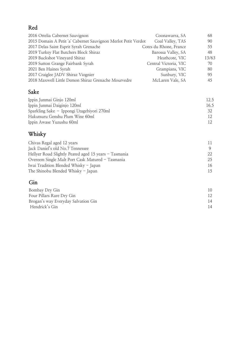# **Red**

| 2016 Ottelia Cabernet Sauvignon                                | Coonawarra, SA         | 68    |
|----------------------------------------------------------------|------------------------|-------|
| 2015 Domain A Petit 'a' Cabernet Sauvignon Merlot Petit Verdot | Coal Valley, TAS       | 90    |
| 2017 Delas Saint Esprit Syrah Grenache                         | Cotes du Rhone, France | 55    |
| 2019 Turkey Flat Butchers Block Shiraz                         | Barossa Valley, SA     | 48    |
| 2019 Buckshot Vineyard Shiraz                                  | Heathcote, VIC         | 13/63 |
| 2019 Sutton Grange Fairbank Syrah                              | Central Victoria, VIC  | 70    |
| 2021 Ben Haines Syrah                                          | Grampians, VIC         | 80    |
| 2017 Craiglee JADV Shiraz Viognier                             | Sunbury, VIC           | 95    |
| 2018 Maxwell Little Demon Shiraz Grenache Mourvedre            | McLaren Vale, SA       | 45    |
|                                                                |                        |       |

# **Sake**

| Ippin Junmai Ginjo 120ml                   | 12.5 |
|--------------------------------------------|------|
| Ippin Junmai Daiginjo 120ml                | 16.5 |
| Sparkling Sake - Ippongi Utagebiyori 270ml |      |
| Hakutsuru Genshu Plum Wine 60ml            |      |
| Ippin Awase Yuzushu 60ml                   |      |

# **Whisky**

| Chivas Regal aged 12 years                            |     |
|-------------------------------------------------------|-----|
| Jack Daniel's old No.7 Tennessee                      |     |
| Hellyer Road Slightly Peated aged 15 years - Tasmania | 22. |
| Overeem Single Malt Port Cask Matured - Tasmania      | 25. |
| Iwai Tradition Blended Whisky - Japan                 | 16  |
| The Shinobu Blended Whisky - Japan                    | 15  |
|                                                       |     |

# **Gin**

| Bombay Dry Gin                      | 10. |
|-------------------------------------|-----|
| Four Pillars Rare Dry Gin           |     |
| Brogan's way Everyday Salvation Gin | 14  |
| Hendrick's Gin                      | 14  |